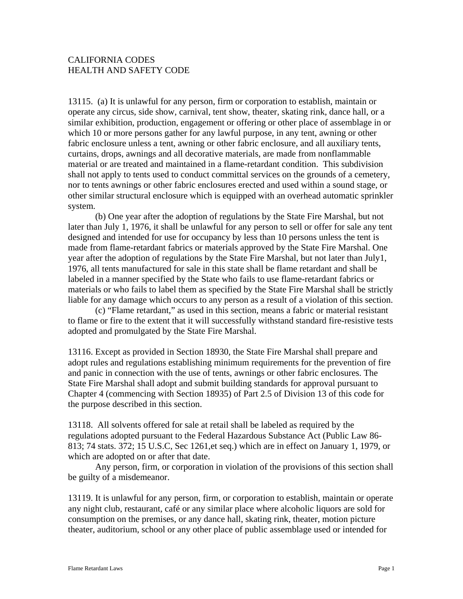## CALIFORNIA CODES HEALTH AND SAFETY CODE

13115. (a) It is unlawful for any person, firm or corporation to establish, maintain or operate any circus, side show, carnival, tent show, theater, skating rink, dance hall, or a similar exhibition, production, engagement or offering or other place of assemblage in or which 10 or more persons gather for any lawful purpose, in any tent, awning or other fabric enclosure unless a tent, awning or other fabric enclosure, and all auxiliary tents, curtains, drops, awnings and all decorative materials, are made from nonflammable material or are treated and maintained in a flame-retardant condition. This subdivision shall not apply to tents used to conduct committal services on the grounds of a cemetery, nor to tents awnings or other fabric enclosures erected and used within a sound stage, or other similar structural enclosure which is equipped with an overhead automatic sprinkler system.

 (b) One year after the adoption of regulations by the State Fire Marshal, but not later than July 1, 1976, it shall be unlawful for any person to sell or offer for sale any tent designed and intended for use for occupancy by less than 10 persons unless the tent is made from flame-retardant fabrics or materials approved by the State Fire Marshal. One year after the adoption of regulations by the State Fire Marshal, but not later than July1, 1976, all tents manufactured for sale in this state shall be flame retardant and shall be labeled in a manner specified by the State who fails to use flame-retardant fabrics or materials or who fails to label them as specified by the State Fire Marshal shall be strictly liable for any damage which occurs to any person as a result of a violation of this section.

 (c) "Flame retardant," as used in this section, means a fabric or material resistant to flame or fire to the extent that it will successfully withstand standard fire-resistive tests adopted and promulgated by the State Fire Marshal.

13116. Except as provided in Section 18930, the State Fire Marshal shall prepare and adopt rules and regulations establishing minimum requirements for the prevention of fire and panic in connection with the use of tents, awnings or other fabric enclosures. The State Fire Marshal shall adopt and submit building standards for approval pursuant to Chapter 4 (commencing with Section 18935) of Part 2.5 of Division 13 of this code for the purpose described in this section.

13118. All solvents offered for sale at retail shall be labeled as required by the regulations adopted pursuant to the Federal Hazardous Substance Act (Public Law 86- 813; 74 stats. 372; 15 U.S.C, Sec 1261,et seq.) which are in effect on January 1, 1979, or which are adopted on or after that date.

 Any person, firm, or corporation in violation of the provisions of this section shall be guilty of a misdemeanor.

13119. It is unlawful for any person, firm, or corporation to establish, maintain or operate any night club, restaurant, café or any similar place where alcoholic liquors are sold for consumption on the premises, or any dance hall, skating rink, theater, motion picture theater, auditorium, school or any other place of public assemblage used or intended for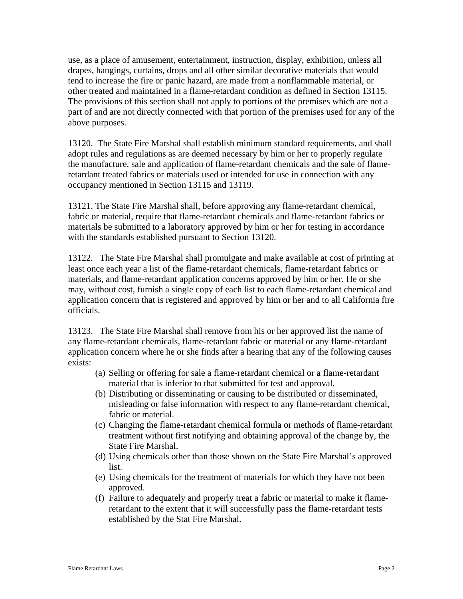use, as a place of amusement, entertainment, instruction, display, exhibition, unless all drapes, hangings, curtains, drops and all other similar decorative materials that would tend to increase the fire or panic hazard, are made from a nonflammable material, or other treated and maintained in a flame-retardant condition as defined in Section 13115. The provisions of this section shall not apply to portions of the premises which are not a part of and are not directly connected with that portion of the premises used for any of the above purposes.

13120. The State Fire Marshal shall establish minimum standard requirements, and shall adopt rules and regulations as are deemed necessary by him or her to properly regulate the manufacture, sale and application of flame-retardant chemicals and the sale of flameretardant treated fabrics or materials used or intended for use in connection with any occupancy mentioned in Section 13115 and 13119.

13121. The State Fire Marshal shall, before approving any flame-retardant chemical, fabric or material, require that flame-retardant chemicals and flame-retardant fabrics or materials be submitted to a laboratory approved by him or her for testing in accordance with the standards established pursuant to Section 13120.

13122. The State Fire Marshal shall promulgate and make available at cost of printing at least once each year a list of the flame-retardant chemicals, flame-retardant fabrics or materials, and flame-retardant application concerns approved by him or her. He or she may, without cost, furnish a single copy of each list to each flame-retardant chemical and application concern that is registered and approved by him or her and to all California fire officials.

13123. The State Fire Marshal shall remove from his or her approved list the name of any flame-retardant chemicals, flame-retardant fabric or material or any flame-retardant application concern where he or she finds after a hearing that any of the following causes exists:

- (a) Selling or offering for sale a flame-retardant chemical or a flame-retardant material that is inferior to that submitted for test and approval.
- (b) Distributing or disseminating or causing to be distributed or disseminated, misleading or false information with respect to any flame-retardant chemical, fabric or material.
- (c) Changing the flame-retardant chemical formula or methods of flame-retardant treatment without first notifying and obtaining approval of the change by, the State Fire Marshal.
- (d) Using chemicals other than those shown on the State Fire Marshal's approved list.
- (e) Using chemicals for the treatment of materials for which they have not been approved.
- (f) Failure to adequately and properly treat a fabric or material to make it flameretardant to the extent that it will successfully pass the flame-retardant tests established by the Stat Fire Marshal.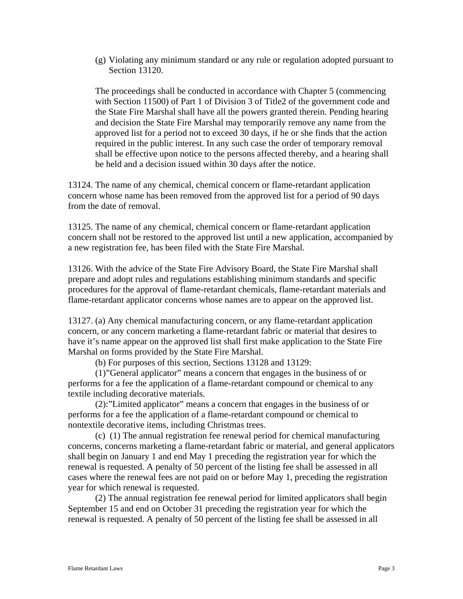(g) Violating any minimum standard or any rule or regulation adopted pursuant to Section 13120.

The proceedings shall be conducted in accordance with Chapter 5 (commencing with Section 11500) of Part 1 of Division 3 of Title2 of the government code and the State Fire Marshal shall have all the powers granted therein. Pending hearing and decision the State Fire Marshal may temporarily remove any name from the approved list for a period not to exceed 30 days, if he or she finds that the action required in the public interest. In any such case the order of temporary removal shall be effective upon notice to the persons affected thereby, and a hearing shall be held and a decision issued within 30 days after the notice.

13124. The name of any chemical, chemical concern or flame-retardant application concern whose name has been removed from the approved list for a period of 90 days from the date of removal.

13125. The name of any chemical, chemical concern or flame-retardant application concern shall not be restored to the approved list until a new application, accompanied by a new registration fee, has been filed with the State Fire Marshal.

13126. With the advice of the State Fire Advisory Board, the State Fire Marshal shall prepare and adopt rules and regulations establishing minimum standards and specific procedures for the approval of flame-retardant chemicals, flame-retardant materials and flame-retardant applicator concerns whose names are to appear on the approved list.

13127. (a) Any chemical manufacturing concern, or any flame-retardant application concern, or any concern marketing a flame-retardant fabric or material that desires to have it's name appear on the approved list shall first make application to the State Fire Marshal on forms provided by the State Fire Marshal.

(b) For purposes of this section, Sections 13128 and 13129:

 (1)"General applicator" means a concern that engages in the business of or performs for a fee the application of a flame-retardant compound or chemical to any textile including decorative materials.

 (2):"Limited applicator" means a concern that engages in the business of or performs for a fee the application of a flame-retardant compound or chemical to nontextile decorative items, including Christmas trees.

 (c) (1) The annual registration fee renewal period for chemical manufacturing concerns, concerns marketing a flame-retardant fabric or material, and general applicators shall begin on January 1 and end May 1 preceding the registration year for which the renewal is requested. A penalty of 50 percent of the listing fee shall be assessed in all cases where the renewal fees are not paid on or before May 1, preceding the registration year for which renewal is requested.

 (2) The annual registration fee renewal period for limited applicators shall begin September 15 and end on October 31 preceding the registration year for which the renewal is requested. A penalty of 50 percent of the listing fee shall be assessed in all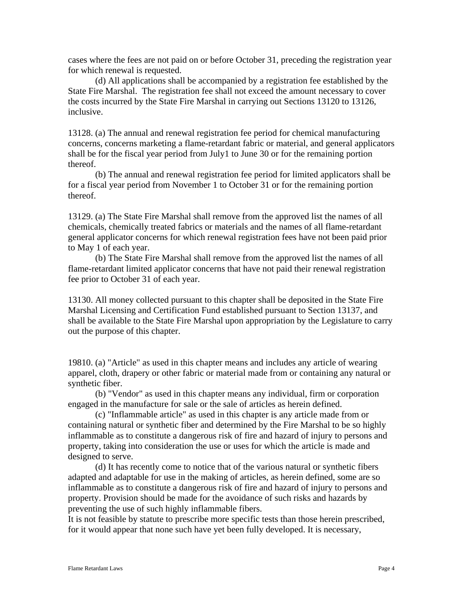cases where the fees are not paid on or before October 31, preceding the registration year for which renewal is requested.

 (d) All applications shall be accompanied by a registration fee established by the State Fire Marshal. The registration fee shall not exceed the amount necessary to cover the costs incurred by the State Fire Marshal in carrying out Sections 13120 to 13126, inclusive.

13128. (a) The annual and renewal registration fee period for chemical manufacturing concerns, concerns marketing a flame-retardant fabric or material, and general applicators shall be for the fiscal year period from July1 to June 30 or for the remaining portion thereof.

 (b) The annual and renewal registration fee period for limited applicators shall be for a fiscal year period from November 1 to October 31 or for the remaining portion thereof.

13129. (a) The State Fire Marshal shall remove from the approved list the names of all chemicals, chemically treated fabrics or materials and the names of all flame-retardant general applicator concerns for which renewal registration fees have not been paid prior to May 1 of each year.

 (b) The State Fire Marshal shall remove from the approved list the names of all flame-retardant limited applicator concerns that have not paid their renewal registration fee prior to October 31 of each year.

13130. All money collected pursuant to this chapter shall be deposited in the State Fire Marshal Licensing and Certification Fund established pursuant to Section 13137, and shall be available to the State Fire Marshal upon appropriation by the Legislature to carry out the purpose of this chapter.

19810. (a) "Article" as used in this chapter means and includes any article of wearing apparel, cloth, drapery or other fabric or material made from or containing any natural or synthetic fiber.

(b) "Vendor" as used in this chapter means any individual, firm or corporation engaged in the manufacture for sale or the sale of articles as herein defined.

(c) "Inflammable article" as used in this chapter is any article made from or containing natural or synthetic fiber and determined by the Fire Marshal to be so highly inflammable as to constitute a dangerous risk of fire and hazard of injury to persons and property, taking into consideration the use or uses for which the article is made and designed to serve.

(d) It has recently come to notice that of the various natural or synthetic fibers adapted and adaptable for use in the making of articles, as herein defined, some are so inflammable as to constitute a dangerous risk of fire and hazard of injury to persons and property. Provision should be made for the avoidance of such risks and hazards by preventing the use of such highly inflammable fibers.

It is not feasible by statute to prescribe more specific tests than those herein prescribed, for it would appear that none such have yet been fully developed. It is necessary,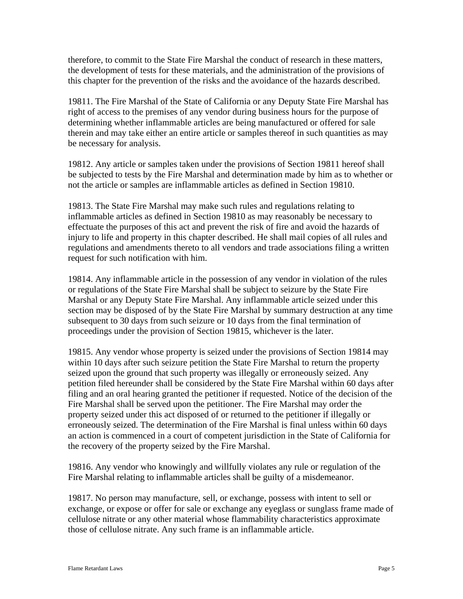therefore, to commit to the State Fire Marshal the conduct of research in these matters, the development of tests for these materials, and the administration of the provisions of this chapter for the prevention of the risks and the avoidance of the hazards described.

19811. The Fire Marshal of the State of California or any Deputy State Fire Marshal has right of access to the premises of any vendor during business hours for the purpose of determining whether inflammable articles are being manufactured or offered for sale therein and may take either an entire article or samples thereof in such quantities as may be necessary for analysis.

19812. Any article or samples taken under the provisions of Section 19811 hereof shall be subjected to tests by the Fire Marshal and determination made by him as to whether or not the article or samples are inflammable articles as defined in Section 19810.

19813. The State Fire Marshal may make such rules and regulations relating to inflammable articles as defined in Section 19810 as may reasonably be necessary to effectuate the purposes of this act and prevent the risk of fire and avoid the hazards of injury to life and property in this chapter described. He shall mail copies of all rules and regulations and amendments thereto to all vendors and trade associations filing a written request for such notification with him.

19814. Any inflammable article in the possession of any vendor in violation of the rules or regulations of the State Fire Marshal shall be subject to seizure by the State Fire Marshal or any Deputy State Fire Marshal. Any inflammable article seized under this section may be disposed of by the State Fire Marshal by summary destruction at any time subsequent to 30 days from such seizure or 10 days from the final termination of proceedings under the provision of Section 19815, whichever is the later.

19815. Any vendor whose property is seized under the provisions of Section 19814 may within 10 days after such seizure petition the State Fire Marshal to return the property seized upon the ground that such property was illegally or erroneously seized. Any petition filed hereunder shall be considered by the State Fire Marshal within 60 days after filing and an oral hearing granted the petitioner if requested. Notice of the decision of the Fire Marshal shall be served upon the petitioner. The Fire Marshal may order the property seized under this act disposed of or returned to the petitioner if illegally or erroneously seized. The determination of the Fire Marshal is final unless within 60 days an action is commenced in a court of competent jurisdiction in the State of California for the recovery of the property seized by the Fire Marshal.

19816. Any vendor who knowingly and willfully violates any rule or regulation of the Fire Marshal relating to inflammable articles shall be guilty of a misdemeanor.

19817. No person may manufacture, sell, or exchange, possess with intent to sell or exchange, or expose or offer for sale or exchange any eyeglass or sunglass frame made of cellulose nitrate or any other material whose flammability characteristics approximate those of cellulose nitrate. Any such frame is an inflammable article.